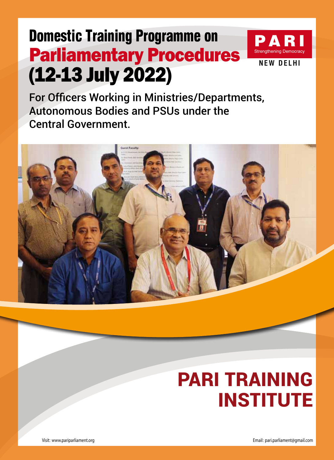# Domestic Training Programme on Parliamentary Procedures (12-13 July 2022)



For Officers Working in Ministries/Departments, Autonomous Bodies and PSUs under the Central Government.



# **PARI TRAINING INSTITUTE**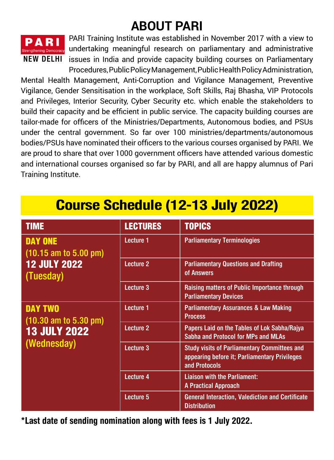# **About PARI**



PARI Training Institute was established in November 2017 with a view to Errengthening Democracy undertaking meaningful research on parliamentary and administrative issues in India and provide capacity building courses on Parliamentary Procedures, Public Policy Management, Public Health Policy Administration,

Mental Health Management, Anti-Corruption and Vigilance Management, Preventive Vigilance, Gender Sensitisation in the workplace, Soft Skills, Raj Bhasha, VIP Protocols and Privileges, Interior Security, Cyber Security etc. which enable the stakeholders to build their capacity and be efficient in public service. The capacity building courses are tailor-made for officers of the Ministries/Departments, Autonomous bodies, and PSUs under the central government. So far over 100 ministries/departments/autonomous bodies/PSUs have nominated their officers to the various courses organised by PARI. We are proud to share that over 1000 government officers have attended various domestic and international courses organised so far by PARI, and all are happy alumnus of Pari Training Institute.

| <b>TIME</b>                                                                                      | <b>LECTURES</b>  | <b>TOPICS</b>                                                                                                         |
|--------------------------------------------------------------------------------------------------|------------------|-----------------------------------------------------------------------------------------------------------------------|
| <b>DAY ONE</b><br>$(10.15 \text{ am to } 5.00 \text{ pm})$<br><b>12 JULY 2022</b><br>(Tuesday)   | Lecture 1        | <b>Parliamentary Terminologies</b>                                                                                    |
|                                                                                                  | Lecture 2        | <b>Parliamentary Questions and Drafting</b><br>of Answers                                                             |
|                                                                                                  | Lecture 3        | Raising matters of Public Importance through<br><b>Parliamentary Devices</b>                                          |
| <b>DAY TWO</b><br>$(10.30 \text{ am to } 5.30 \text{ pm})$<br><b>13 JULY 2022</b><br>(Wednesday) | <b>Lecture 1</b> | <b>Parliamentary Assurances &amp; Law Making</b><br><b>Process</b>                                                    |
|                                                                                                  | <b>Lecture 2</b> | Papers Laid on the Tables of Lok Sabha/Rajya<br><b>Sabha and Protocol for MPs and MLAs</b>                            |
|                                                                                                  | <b>Lecture 3</b> | <b>Study visits of Parliamentary Committees and</b><br>appearing before it; Parliamentary Privileges<br>and Protocols |
|                                                                                                  | Lecture 4        | <b>Liaison with the Parliament:</b><br><b>A Practical Approach</b>                                                    |
|                                                                                                  | Lecture 5        | <b>General Interaction, Valediction and Certificate</b><br><b>Distribution</b>                                        |

**\*Last date of sending nomination along with fees is 1 July 2022.**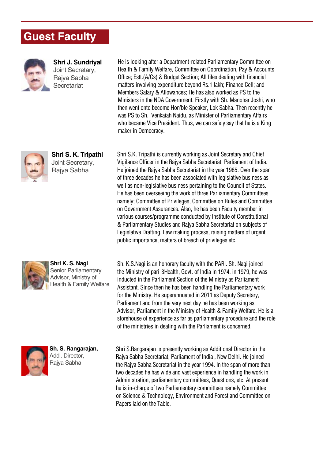## **Guest Faculty**



**Shri J. Sundriyal** Joint Secretary, Rajya Sabha **Secretariat** 





**Shri K. S. Nagi** Senior Parliamentary Advisor, Ministry of Health & Family Welfare



**Sh. S. Rangarajan,**  Addl. Director, Rajya Sabha

He is looking after a Department-related Parliamentary Committee on Health & Family Welfare, Committee on Coordination, Pay & Accounts Office; Estt.(A/Cs) & Budget Section; All files dealing with financial matters involving expenditure beyond Rs.1 lakh; Finance Cell; and Members Salary & Allowances; He has also worked as PS to the Ministers in the NDA Government. Firstly with Sh. Manohar Joshi, who then went onto become Hon'ble Speaker, Lok Sabha. Then recently he was PS to Sh. Venkaiah Naidu, as Minister of Parliamentary Affairs who became Vice President. Thus, we can safely say that he is a King maker in Democracy.

Shri S.K. Tripathi is currently working as Joint Secretary and Chief Vigilance Officer in the Rajya Sabha Secretariat, Parliament of India. He joined the Rajya Sabha Secretariat in the year 1985. Over the span of three decades he has been associated with legislative business as well as non-legislative business pertaining to the Council of States. He has been overseeing the work of three Parliamentary Committees namely; Committee of Privileges, Committee on Rules and Committee on Government Assurances. Also, he has been Faculty member in various courses/programme conducted by Institute of Constitutional & Parliamentary Studies and Rajya Sabha Secretariat on subjects of Legislative Drafting, Law making process, raising matters of urgent public importance, matters of breach of privileges etc.

Sh. K.S.Nagi is an honorary faculty with the PARI. Sh. Nagi joined the Ministry of pari-3Health, Govt. of India in 1974. in 1979, he was inducted in the Parliament Section of the Ministry as Parliament Assistant. Since then he has been handling the Parliamentary work for the Ministry. He superannuated in 2011 as Deputy Secretary, Parliament and from the very next day he has been working as Advisor, Parliament in the Ministry of Health & Family Welfare. He is a storehouse of experience as far as parliamentary procedure and the role of the ministries in dealing with the Parliament is concerned.

Shri S.Rangarajan is presently working as Additional Director in the Rajya Sabha Secretariat, Parliament of India , New Delhi. He joined the Rajya Sabha Secretariat in the year 1994. In the span of more than two decades he has wide and vast experience in handling the work in Administration, parliamentary committees, Questions, etc. At present he is in-charge of two Parliamentary committees namely Committee on Science & Technology, Environment and Forest and Committee on Papers laid on the Table.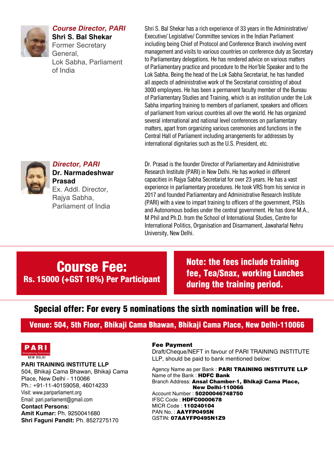

#### **Course Director, PARI**

**Shri S. Bal Shekar** Former Secretary General, Lok Sabha, Parliament of India

Shri S. Bal Shekar has a rich experience of 33 years in the Administrative/ Executive/ Legislative/ Committee services in the Indian Parliament including being Chief of Protocol and Conference Branch involving event management and visits to various countries on conference duty as Secretary to Parliamentary delegations. He has rendered advice on various matters of Parliamentary practice and procedure to the Hon'ble Speaker and to the Lok Sabha. Being the head of the Lok Sabha Secretariat, he has handled all aspects of administrative work of the Secretariat consisting of about 3000 employees. He has been a permanent faculty member of the Bureau of Parliamentary Studies and Training, which is an institution under the Lok Sabha imparting training to members of parliament, speakers and officers of parliament from various countries all over the world. He has organized several international and national level conferences on parliamentary matters, apart from organizing various ceremonies and functions in the Central Hall of Parliament including arrangements for addresses by international dignitaries such as the U.S. President, etc.



#### **Director, PARI Dr. Narmadeshwar**

**Prasad** Ex. Addl. Director, Rajya Sabha, Parliament of India Dr. Prasad is the founder Director of Parliamentary and Administrative Research Institute (PARI) in New Delhi. He has worked in different capacities in Rajya Sabha Secretariat for over 23 years. He has a vast experience in parliamentary procedures. He took VRS from his service in 2017 and founded Parliamentary and Administrative Research Institute (PARI) with a view to impart training to officers of the government, PSUs and Autonomous bodies under the central government. He has done M.A., M Phil and Ph.D. from the School of International Studies, Centre for International Politics, Organisation and Disarmament, Jawaharlal Nehru University, New Delhi.

### Course Fee: Rs. 15000 (+GST 18%) Per Participant

Note: the fees include training fee, Tea/Snax, working Lunches during the training period.

### Special offer: For every 5 nominations the sixth nomination will be free.

Venue: 504, 5th Floor, Bhikaji Cama Bhawan, Bhikaji Cama Place, New Delhi-110066



**PARI Training Institute LLP** 504, Bhikaji Cama Bhawan, Bhikaji Cama Place, New Delhi - 110066 Ph.: +91-11-40159058, 46014233 Visit: www.pariparliament.org Email: pari.parliament@gmail.com **Contact Persons: Amit Kumar:** Ph. 9250041680 **Shri Faguni Pandit:** Ph. 8527275170

#### Fee Payment

Draft/Cheque/NEFT in favour of PARI TRAINING INSTITUTE LLP, should be paid to bank mentioned below:

Agency Name as per Bank : PARI TRAINING INSTITUTE LLP Name of the Bank : HDFC Bank Branch Address: Ansal Chamber-1, Bhikaji Cama Place, New Delhi-110066 Account Number : 50200046748750 IFSC Code : HDFC0000678 MICR Code : 110240104 PAN No.: AAYFP0495N GSTIN: 07AAYFP0495N1Z9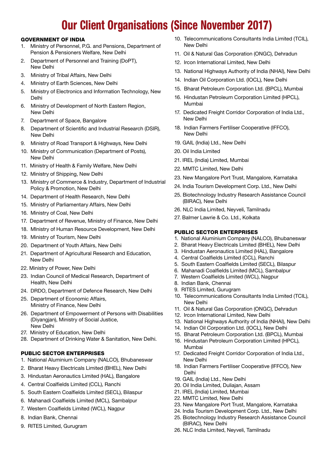## Our Client Organisations (Since November 2017)

#### Government of India

- 1. Ministry of Personnel, P.G. and Pensions, Department of Pension & Pensioners Welfare, New Delhi
- 2. Department of Personnel and Training (DoPT), New Delhi
- 3. Ministry of Tribal Affairs, New Delhi
- 4. Ministry of Earth Sciences, New Delhi
- 5. Ministry of Electronics and Information Technology, New Delhi
- 6. Ministry of Development of North Eastern Region, New Delhi
- 7. Department of Space, Bangalore
- 8. Department of Scientific and Industrial Research (DSIR), New Delhi
- 9. Ministry of Road Transport & Highways, New Delhi
- 10. Ministry of Communication (Department of Posts), New Delhi
- 11. Ministry of Health & Family Welfare, New Delhi
- 12. Ministry of Shipping, New Delhi
- 13. Ministry of Commerce & Industry, Department of Industrial Policy & Promotion, New Delhi
- 14. Department of Health Research, New Delhi
- 15. Ministry of Parliamentary Affairs, New Delhi
- 16. Ministry of Coal, New Delhi
- 17. Department of Revenue, Ministry of Finance, New Delhi
- 18. MInistry of Human Resource Development, New Delhi
- 19. Ministry of Tourism, New Delhi
- 20. Department of Youth Affairs, New Delhi
- 21. Department of Agricultural Research and Education, New Delhi
- 22. Ministry of Power, New Delhi
- 23. Indian Council of Medical Research, Department of Health, New Delhi
- 24. DRDO, Department of Defence Research, New Delhi
- 25. Department of Economic Affairs, Ministry of Finance, New Delhi
- 26. Department of Empowerment of Persons with Disabilities (Diyangjan), Ministry of Social Justice, New Delhi
- 27. Ministry of Education, New Delhi
- 28. Department of Drinking Water & Sanitation, New Delhi.

#### Public Sector Enterprises

- 1. National Aluminium Company (NALCO), Bhubaneswar
- 2. Bharat Heavy Electricals Limited (BHEL), New Delhi
- 3. Hindustan Aeronautics Limited (HAL), Bangalore
- 4. Central Coalfields Limited (CCL), Ranchi
- 5. South Eastern Coalfields Limited (SECL), Bilaspur
- 6. Mahanadi Coalfields Limited (MCL), Sambalpur
- 7. Western Coalfields Limited (WCL), Nagpur
- 8. Indian Bank, Chennai
- 9. RITES Limited, Gurugram
- 10. Telecommunications Consultants India Limited (TCIL), New Delhi
- 11. Oil & Natural Gas Corporation (ONGC), Dehradun
- 12. Ircon International Limited, New Delhi
- 13. National Highways Authority of India (NHAI), New Delhi
- 14. Indian Oil Corporation Ltd. (IOCL), New Delhi
- 15. Bharat Petroleum Corporation Ltd. (BPCL), Mumbai
- 16. Hindustan Petroleum Corporation Limited (HPCL), Mumbai
- 17. Dedicated Freight Corridor Corporation of India Ltd., New Delhi
- 18. Indian Farmers Fertiliser Cooperative (IFFCO), New Delhi
- 19. GAIL (India) Ltd., New Delhi
- 20. Oil India Limited
- 21. IREL (India) Limited, Mumbai
- 22. MMTC Limited, New Delhi
- 23. New Mangalore Port Trust, Mangalore, Karnataka
- 24. India Tourism Development Corp. Ltd., New Delhi
- 25. Biotechnology Industry Research Assistance Council (BIRAC), New Delhi
- 26. NLC India Limited, Neyveli, Tamilnadu
- 27. Balmer Lawrie & Co. Ltd., Kolkata

#### Public Sector Enterprises

- 1. National Aluminium Company (NALCO), Bhubaneswar
- 2. Bharat Heavy Electricals Limited (BHEL), New Delhi
- 3. Hindustan Aeronautics Limited (HAL), Bangalore
- 4. Central Coalfields Limited (CCL), Ranchi
- 5. South Eastern Coalfields Limited (SECL), Bilaspur
- 6. Mahanadi Coalfields Limited (MCL), Sambalpur
- 7. Western Coalfields Limited (WCL), Nagpur
- 8. Indian Bank, Chennai
- 9. RITES Limited, Gurugram
- 10. Telecommunications Consultants India Limited (TCIL), New Delhi
- 11. Oil & Natural Gas Corporation (ONGC), Dehradun
- 12. Ircon International Limited, New Delhi
- 13. National Highways Authority of India (NHAI), New Delhi
- 14. Indian Oil Corporation Ltd. (IOCL), New Delhi
- 15. Bharat Petroleum Corporation Ltd. (BPCL), Mumbai 16. Hindustan Petroleum Corporation Limited (HPCL),
- Mumbai
- 17. Dedicated Freight Corridor Corporation of India Ltd., New Delhi
- 18. Indian Farmers Fertiliser Cooperative (IFFCO), New Delhi
- 19. GAIL (India) Ltd., New Delhi
- 20. Oil India Limited, Duliajan, Assam
- 21. IREL (India) Limited, Mumbai
- 22. MMTC Limited, New Delhi
- 23. New Mangalore Port Trust, Mangalore, Karnataka
- 24. India Tourism Development Corp. Ltd., New Delhi
- 25. Biotechnology Industry Research Assistance Council (BIRAC), New Delhi
- 26. NLC India Limited, Neyveli, Tamilnadu